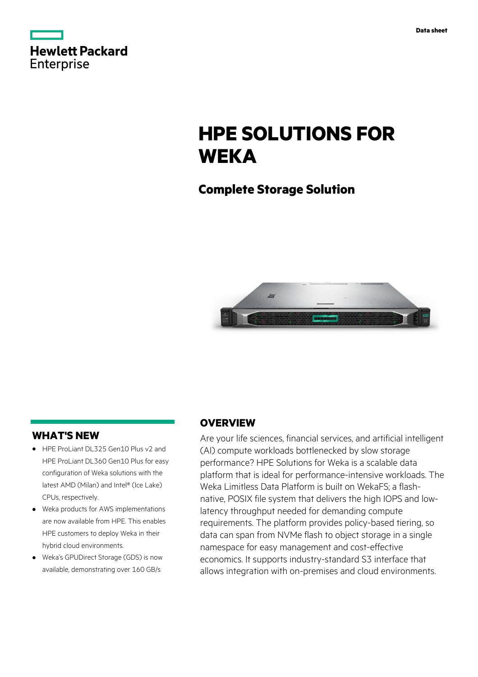|            | <b>Hewlett Packard</b> |
|------------|------------------------|
| Enterprise |                        |

# **HPE SOLUTIONS FOR WEKA**

## **Complete Storage Solution**



## **WHAT'S NEW**

- **·** HPE ProLiant DL325 Gen10 Plus v2 and HPE ProLiant DL360 Gen10 Plus for easy configuration of Weka solutions with the latest AMD (Milan) and Intel® (Ice Lake) CPUs, respectively.
- **·** Weka products for AWS implementations are now available from HPE. This enables HPE customers to deploy Weka in their hybrid cloud environments.
- **·** Weka's GPUDirect Storage (GDS) is now available, demonstrating over 160 GB/s

## **OVERVIEW**

Are your life sciences, financial services, and artificial intelligent (AI) compute workloads bottlenecked by slow storage performance? HPE Solutions for Weka is a scalable data platform that is ideal for performance-intensive workloads. The Weka Limitless Data Platform is built on WekaFS; a flashnative, POSIX file system that delivers the high IOPS and lowlatency throughput needed for demanding compute requirements. The platform provides policy-based tiering, so data can span from NVMe flash to object storage in a single namespace for easy management and cost-effective economics. It supports industry-standard S3 interface that allows integration with on-premises and cloud environments.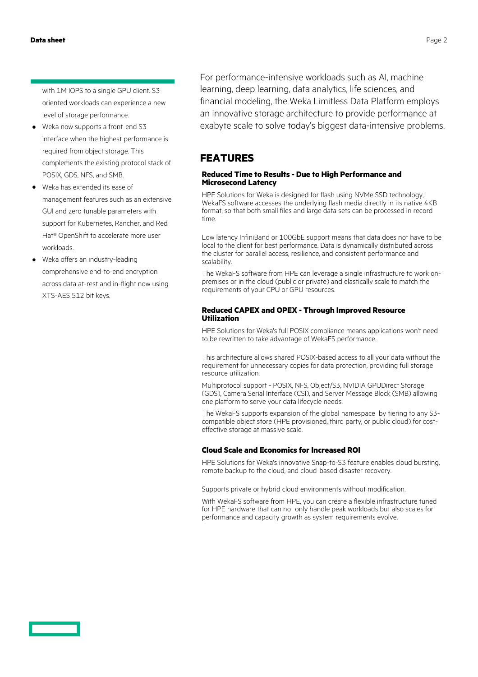with 1M IOPS to a single GPU client. S3 oriented workloads can experience a new level of storage performance.

- **·** Weka now supports a front-end S3 interface when the highest performance is required from object storage. This complements the existing protocol stack of POSIX, GDS, NFS, and SMB.
- **·** Weka has extended its ease of management features such as an extensive GUI and zero tunable parameters with support for Kubernetes, Rancher, and Red Hat® OpenShift to accelerate more user workloads.
- **·** Weka offers an industry-leading comprehensive end-to-end encryption across data at-rest and in-flight now using XTS-AES 512 bit keys.

For performance-intensive workloads such as AI, machine learning, deep learning, data analytics, life sciences, and financial modeling, the Weka Limitless Data Platform employs an innovative storage architecture to provide performance at exabyte scale to solve today's biggest data-intensive problems.

## **FEATURES**

#### **Reduced Time to Results - Due to High Performance and Microsecond Latency**

HPE Solutions for Weka is designed for flash using NVMe SSD technology, WekaFS software accesses the underlying flash media directly in its native 4KB format, so that both small files and large data sets can be processed in record time.

Low latency InfiniBand or 100GbE support means that data does not have to be local to the client for best performance. Data is dynamically distributed across the cluster for parallel access, resilience, and consistent performance and scalability.

The WekaFS software from HPE can leverage a single infrastructure to work onpremises or in the cloud (public or private) and elastically scale to match the requirements of your CPU or GPU resources.

#### **Reduced CAPEX and OPEX - Through Improved Resource Utilization**

HPE Solutions for Weka's full POSIX compliance means applications won't need to be rewritten to take advantage of WekaFS performance.

This architecture allows shared POSIX-based access to all your data without the requirement for unnecessary copies for data protection, providing full storage resource utilization.

Multiprotocol support - POSIX, NFS, Object/S3, NVIDIA GPUDirect Storage (GDS), Camera Serial Interface (CSI), and Server Message Block (SMB) allowing one platform to serve your data lifecycle needs.

The WekaFS supports expansion of the global namespace by tiering to any S3 compatible object store (HPE provisioned, third party, or public cloud) for costeffective storage at massive scale.

### **Cloud Scale and Economics for Increased ROI**

HPE Solutions for Weka's innovative Snap-to-S3 feature enables cloud bursting, remote backup to the cloud, and cloud-based disaster recovery.

Supports private or hybrid cloud environments without modification.

With WekaFS software from HPE, you can create a flexible infrastructure tuned for HPE hardware that can not only handle peak workloads but also scales for performance and capacity growth as system requirements evolve.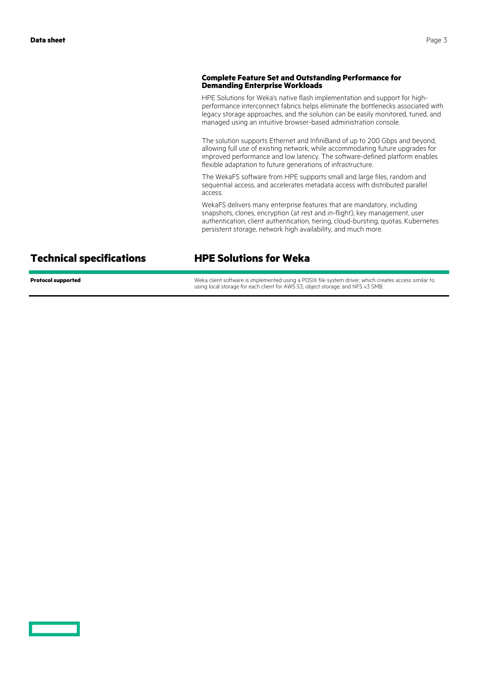#### **Complete Feature Set and Outstanding Performance for Demanding Enterprise Workloads**

HPE Solutions for Weka's native flash implementation and support for highperformance interconnect fabrics helps eliminate the bottlenecks associated with legacy storage approaches, and the solution can be easily monitored, tuned, and managed using an intuitive browser-based administration console.

The solution supports Ethernet and InfiniBand of up to 200 Gbps and beyond, allowing full use of existing network, while accommodating future upgrades for improved performance and low latency. The software-defined platform enables flexible adaptation to future generations of infrastructure.

The WekaFS software from HPE supports small and large files, random and sequential access, and accelerates metadata access with distributed parallel access.

WekaFS delivers many enterprise features that are mandatory, including snapshots, clones, encryption (at rest and in-flight), key management, user authentication, client authentication, tiering, cloud-bursting, quotas, Kubernetes persistent storage, network high availability, and much more.

## **Technical specifications HPE Solutions for Weka**

**Protocol supported Exercise 20 Terms** Weka client software is implemented using a POSIX file system driver, which creates access similar to using local storage for each client for AWS S3, object storage, and NFS v3 SMB.